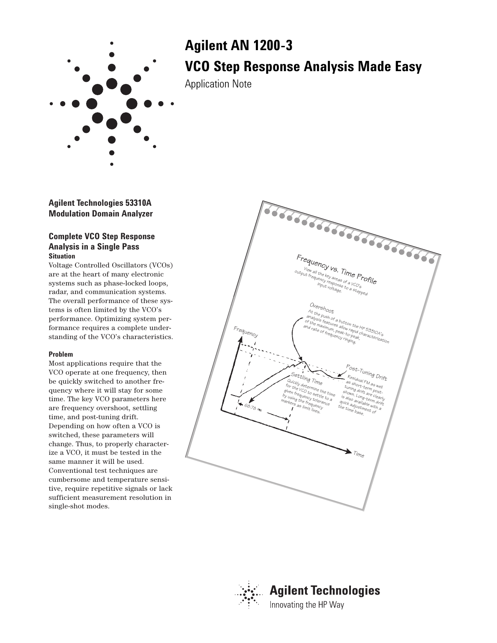

# **Agilent AN 1200-3 VCO Step Response Analysis Made Easy**

Application Note

**Agilent Technologies 53310A Modulation Domain Analyzer**

## **Complete VCO Step Response Analysis in a Single Pass Situation**

Voltage Controlled Oscillators (VCOs) are at the heart of many electronic systems such as phase-locked loops, radar, and communication systems. The overall performance of these systems is often limited by the VCO's performance. Optimizing system performance requires a complete understanding of the VCO's characteristics.

### **Problem**

Most applications require that the VCO operate at one frequency, then be quickly switched to another frequency where it will stay for some time. The key VCO parameters here are frequency overshoot, settling time, and post-tuning drift. Depending on how often a VCO is switched, these parameters will change. Thus, to properly characterize a VCO, it must be tested in the same manner it will be used. Conventional test techniques are cumbersome and temperature sensitive, require repetitive signals or lack sufficient measurement resolution in single-shot modes.